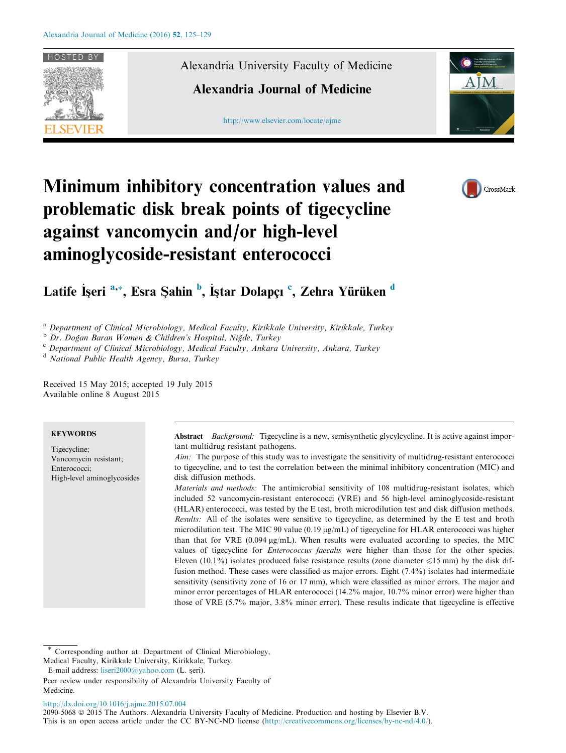

Alexandria University Faculty of Medicine

# Alexandria Journal of Medicine

[http://www.elsevier.com/locate/ajme](http://www.sciencedirect.com/science/journal/20905068)





# Minimum inhibitory concentration values and problematic disk break points of tigecycline against vancomycin and/or high-level aminoglycoside-resistant enterococci

Latife İşeri <sup>a,</sup>\*, Esra Şahin <sup>b</sup>, İştar Dolapçı <sup>c</sup>, Zehra Yürüken <sup>d</sup>

<sup>a</sup> Department of Clinical Microbiology, Medical Faculty, Kirikkale University, Kirikkale, Turkey

<sup>b</sup> Dr. Doğan Baran Women & Children's Hospital, Niğde, Turkey

<sup>c</sup> Department of Clinical Microbiology, Medical Faculty, Ankara University, Ankara, Turkey

<sup>d</sup> National Public Health Agency, Bursa, Turkey

Received 15 May 2015; accepted 19 July 2015 Available online 8 August 2015

# **KEYWORDS**

Tigecycline; Vancomycin resistant; Enterococci; High-level aminoglycosides

Abstract Background: Tigecycline is a new, semisynthetic glycylcycline. It is active against important multidrug resistant pathogens.

Aim: The purpose of this study was to investigate the sensitivity of multidrug-resistant enterococci to tigecycline, and to test the correlation between the minimal inhibitory concentration (MIC) and disk diffusion methods.

Materials and methods: The antimicrobial sensitivity of 108 multidrug-resistant isolates, which included 52 vancomycin-resistant enterococci (VRE) and 56 high-level aminoglycoside-resistant (HLAR) enterococci, was tested by the E test, broth microdilution test and disk diffusion methods. Results: All of the isolates were sensitive to tigecycline, as determined by the E test and broth microdilution test. The MIC 90 value (0.19  $\mu$ g/mL) of tigecycline for HLAR enterococci was higher than that for VRE  $(0.094 \mu g/mL)$ . When results were evaluated according to species, the MIC values of tigecycline for Enterococcus faecalis were higher than those for the other species. Eleven (10.1%) isolates produced false resistance results (zone diameter  $\leq 15$  mm) by the disk diffusion method. These cases were classified as major errors. Eight (7.4%) isolates had intermediate sensitivity (sensitivity zone of 16 or 17 mm), which were classified as minor errors. The major and minor error percentages of HLAR enterococci (14.2% major, 10.7% minor error) were higher than those of VRE (5.7% major, 3.8% minor error). These results indicate that tigecycline is effective

<http://dx.doi.org/10.1016/j.ajme.2015.07.004>

2090-5068 © 2015 The Authors. Alexandria University Faculty of Medicine. Production and hosting by Elsevier B.V. This is an open access article under the CC BY-NC-ND license ([http://creativecommons.org/licenses/by-nc-nd/4.0/\)](http://creativecommons.org/licenses/by-nc-nd/4.0/).

Corresponding author at: Department of Clinical Microbiology, Medical Faculty, Kirikkale University, Kirikkale, Turkey.

E-mail address: [liseri2000@yahoo.com](mailto:liseri2000@yahoo.com) (L. şeri).

Peer review under responsibility of Alexandria University Faculty of Medicine.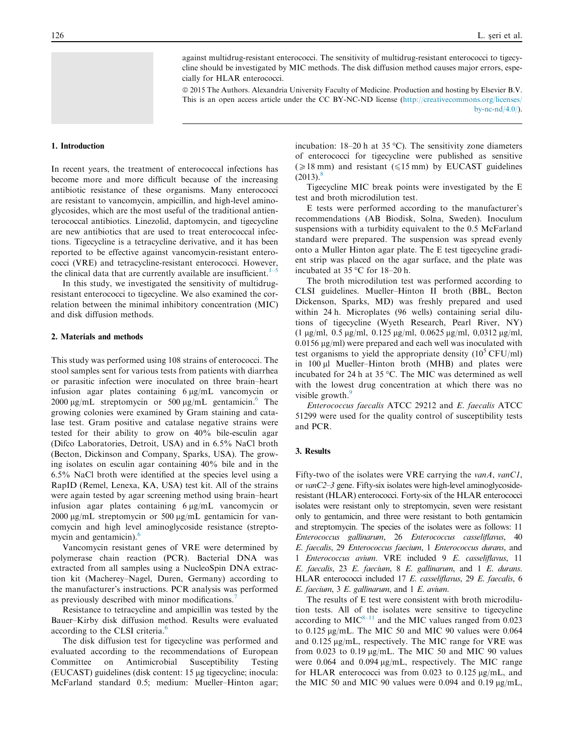against multidrug-resistant enterococci. The sensitivity of multidrug-resistant enterococci to tigecycline should be investigated by MIC methods. The disk diffusion method causes major errors, especially for HLAR enterococci.

ª 2015 The Authors. Alexandria University Faculty of Medicine. Production and hosting by Elsevier B.V. This is an open access article under the CC BY-NC-ND license [\(http://creativecommons.org/licenses/](http://creativecommons.org/licenses/by-nc-nd/4.0/) by-nc-nd $(4.0)$ .

## 1. Introduction

In recent years, the treatment of enterococcal infections has become more and more difficult because of the increasing antibiotic resistance of these organisms. Many enterococci are resistant to vancomycin, ampicillin, and high-level aminoglycosides, which are the most useful of the traditional antienterococcal antibiotics. Linezolid, daptomycin, and tigecycline are new antibiotics that are used to treat enterococcal infections. Tigecycline is a tetracycline derivative, and it has been reported to be effective against vancomycin-resistant enterococci (VRE) and tetracycline-resistant enterococci. However, the clinical data that are currently available are insufficient. $1-5$ 

In this study, we investigated the sensitivity of multidrugresistant enterococci to tigecycline. We also examined the correlation between the minimal inhibitory concentration (MIC) and disk diffusion methods.

# 2. Materials and methods

This study was performed using 108 strains of enterococci. The stool samples sent for various tests from patients with diarrhea or parasitic infection were inoculated on three brain–heart infusion agar plates containing  $6 \mu g/mL$  vancomvein or 2000  $\mu$ g/mL streptomycin or 500  $\mu$ g/mL gentamicin.<sup>[6](#page-3-0)</sup> The growing colonies were examined by Gram staining and catalase test. Gram positive and catalase negative strains were tested for their ability to grow on 40% bile-esculin agar (Difco Laboratories, Detroit, USA) and in 6.5% NaCl broth (Becton, Dickinson and Company, Sparks, USA). The growing isolates on esculin agar containing 40% bile and in the 6.5% NaCl broth were identified at the species level using a RapID (Remel, Lenexa, KA, USA) test kit. All of the strains were again tested by agar screening method using brain–heart infusion agar plates containing  $6 \mu g/mL$  vancomycin or  $2000 \mu g/mL$  streptomycin or 500  $\mu g/mL$  gentamicin for vancomycin and high level aminoglycoside resistance (streptomycin and gentamicin). $\frac{6}{5}$  $\frac{6}{5}$  $\frac{6}{5}$ 

Vancomycin resistant genes of VRE were determined by polymerase chain reaction (PCR). Bacterial DNA was extracted from all samples using a NucleoSpin DNA extraction kit (Macherey–Nagel, Duren, Germany) according to the manufacturer's instructions. PCR analysis was performed as previously described with minor modifications.

Resistance to tetracycline and ampicillin was tested by the Bauer–Kirby disk diffusion method. Results were evaluated according to the CLSI criteria.<sup>[6](#page-3-0)</sup>

The disk diffusion test for tigecycline was performed and evaluated according to the recommendations of European Committee on Antimicrobial Susceptibility Testing (EUCAST) guidelines (disk content: 15 µg tigecycline; inocula: McFarland standard 0.5; medium: Mueller–Hinton agar;

incubation:  $18-20$  h at  $35^{\circ}$ C). The sensitivity zone diameters of enterococci for tigecycline were published as sensitive ( $\geq 18$  mm) and resistant ( $\leq 15$  mm) by EUCAST guidelines  $(2013)^{8}$ 

Tigecycline MIC break points were investigated by the E test and broth microdilution test.

E tests were performed according to the manufacturer's recommendations (AB Biodisk, Solna, Sweden). Inoculum suspensions with a turbidity equivalent to the 0.5 McFarland standard were prepared. The suspension was spread evenly onto a Muller Hinton agar plate. The E test tigecycline gradient strip was placed on the agar surface, and the plate was incubated at  $35^{\circ}$ C for  $18-20$  h.

The broth microdilution test was performed according to CLSI guidelines. Mueller–Hinton II broth (BBL, Becton Dickenson, Sparks, MD) was freshly prepared and used within 24 h. Microplates (96 wells) containing serial dilutions of tigecycline (Wyeth Research, Pearl River, NY)  $(1 \mu g/ml, 0.5 \mu g/ml, 0.125 \mu g/ml, 0.0625 \mu g/ml, 0.0312 \mu g/ml,$  $0.0156 \mu g/ml$  were prepared and each well was inoculated with test organisms to yield the appropriate density  $(10^5 \text{ CFU/ml})$ in 100 µl Mueller–Hinton broth (MHB) and plates were incubated for 24 h at 35  $\degree$ C. The MIC was determined as well with the lowest drug concentration at which there was no visible growth.<sup>[9](#page-3-0)</sup>

Enterococcus faecalis ATCC 29212 and E. faecalis ATCC 51299 were used for the quality control of susceptibility tests and PCR.

#### 3. Results

Fifty-two of the isolates were VRE carrying the  $vanA$ ,  $vanCI$ , or vanC2–3 gene. Fifty-six isolates were high-level aminoglycosideresistant (HLAR) enterococci. Forty-six of the HLAR enterococci isolates were resistant only to streptomycin, seven were resistant only to gentamicin, and three were resistant to both gentamicin and streptomycin. The species of the isolates were as follows: 11 Enterococcus gallinarum, 26 Enterococcus casseliflavus, 40 E. faecalis, 29 Enterococcus faecium, 1 Enterococcus durans, and 1 Enterococcus avium. VRE included 9 E. casseliflavus, 11 E. faecalis, 23 E. faecium, 8 E. gallinarum, and 1 E. durans. HLAR enterococci included 17 E. casseliflavus, 29 E. faecalis, 6 E. faecium, 3 E. gallinarum, and 1 E. avium.

The results of E test were consistent with broth microdilution tests. All of the isolates were sensitive to tigecycline according to  $MIC<sup>8–11</sup>$  $MIC<sup>8–11</sup>$  $MIC<sup>8–11</sup>$  and the MIC values ranged from 0.023 to  $0.125 \mu g/mL$ . The MIC 50 and MIC 90 values were 0.064 and 0.125 µg/mL, respectively. The MIC range for VRE was from  $0.023$  to  $0.19 \mu\text{g/mL}$ . The MIC 50 and MIC 90 values were  $0.064$  and  $0.094 \mu g/mL$ , respectively. The MIC range for HLAR enterococci was from  $0.023$  to  $0.125 \mu g/mL$ , and the MIC 50 and MIC 90 values were 0.094 and 0.19  $\mu$ g/mL,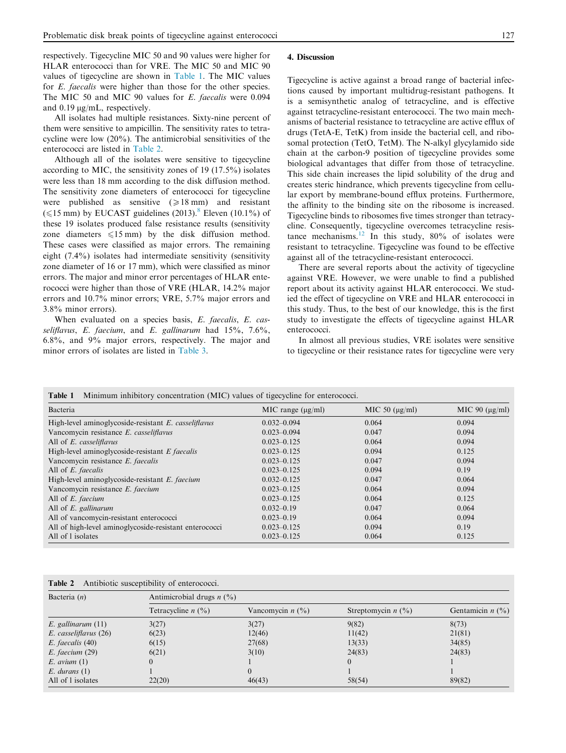<span id="page-2-0"></span>respectively. Tigecycline MIC 50 and 90 values were higher for HLAR enterococci than for VRE. The MIC 50 and MIC 90 values of tigecycline are shown in Table 1. The MIC values for E. faecalis were higher than those for the other species. The MIC 50 and MIC 90 values for E. faecalis were 0.094 and 0.19  $\mu$ g/mL, respectively.

All isolates had multiple resistances. Sixty-nine percent of them were sensitive to ampicillin. The sensitivity rates to tetracycline were low (20%). The antimicrobial sensitivities of the enterococci are listed in Table 2.

Although all of the isolates were sensitive to tigecycline according to MIC, the sensitivity zones of 19 (17.5%) isolates were less than 18 mm according to the disk diffusion method. The sensitivity zone diameters of enterococci for tigecycline were published as sensitive  $(\geq 18 \text{ mm})$  and resistant ( $\leq$ 15 mm) by EUCAST guidelines (2013).<sup>[8](#page-3-0)</sup> Eleven (10.1%) of these 19 isolates produced false resistance results (sensitivity zone diameters  $\leq 15$  mm) by the disk diffusion method. These cases were classified as major errors. The remaining eight (7.4%) isolates had intermediate sensitivity (sensitivity zone diameter of 16 or 17 mm), which were classified as minor errors. The major and minor error percentages of HLAR enterococci were higher than those of VRE (HLAR, 14.2% major errors and 10.7% minor errors; VRE, 5.7% major errors and 3.8% minor errors).

When evaluated on a species basis, E. faecalis, E. casseliflavus, E. faecium, and E. gallinarum had  $15\%, 7.6\%,$ 6.8%, and 9% major errors, respectively. The major and minor errors of isolates are listed in [Table 3.](#page-3-0)

Tigecycline is active against a broad range of bacterial infections caused by important multidrug-resistant pathogens. It is a semisynthetic analog of tetracycline, and is effective against tetracycline-resistant enterococci. The two main mechanisms of bacterial resistance to tetracycline are active efflux of drugs (TetA-E, TetK) from inside the bacterial cell, and ribosomal protection (TetO, TetM). The N-alkyl glycylamido side chain at the carbon-9 position of tigecycline provides some biological advantages that differ from those of tetracycline. This side chain increases the lipid solubility of the drug and creates steric hindrance, which prevents tigecycline from cellular export by membrane-bound efflux proteins. Furthermore, the affinity to the binding site on the ribosome is increased. Tigecycline binds to ribosomes five times stronger than tetracycline. Consequently, tigecycline overcomes tetracycline resis-tance mechanisms.<sup>[12](#page-3-0)</sup> In this study,  $80\%$  of isolates were resistant to tetracycline. Tigecycline was found to be effective against all of the tetracycline-resistant enterococci.

There are several reports about the activity of tigecycline against VRE. However, we were unable to find a published report about its activity against HLAR enterococci. We studied the effect of tigecycline on VRE and HLAR enterococci in this study. Thus, to the best of our knowledge, this is the first study to investigate the effects of tigecycline against HLAR enterococci.

In almost all previous studies, VRE isolates were sensitive to tigecycline or their resistance rates for tigecycline were very

| Bacteria                                               | MIC range $(\mu g/ml)$ | MIC 50 $(\mu$ g/ml) | MIC 90 $(\mu$ g/ml) |
|--------------------------------------------------------|------------------------|---------------------|---------------------|
| High-level aminoglycoside-resistant E. casseliflavus   | $0.032 - 0.094$        | 0.064               | 0.094               |
| Vancomycin resistance E. casseliflavus                 | $0.023 - 0.094$        | 0.047               | 0.094               |
| All of E. casseliflavus                                | $0.023 - 0.125$        | 0.064               | 0.094               |
| High-level aminoglycoside-resistant E faecalis         | $0.023 - 0.125$        | 0.094               | 0.125               |
| Vancomycin resistance E. faecalis                      | $0.023 - 0.125$        | 0.047               | 0.094               |
| All of <i>E. faecalis</i>                              | $0.023 - 0.125$        | 0.094               | 0.19                |
| High-level aminoglycoside-resistant E. faecium         | $0.032 - 0.125$        | 0.047               | 0.064               |
| Vancomycin resistance E. faecium                       | $0.023 - 0.125$        | 0.064               | 0.094               |
| All of <i>E. faecium</i>                               | $0.023 - 0.125$        | 0.064               | 0.125               |
| All of E. gallinarum                                   | $0.032 - 0.19$         | 0.047               | 0.064               |
| All of vancomycin-resistant enterococci                | $0.023 - 0.19$         | 0.064               | 0.094               |
| All of high-level aminoglycoside-resistant enterococci | $0.023 - 0.125$        | 0.094               | 0.19                |
| All of l isolates                                      | $0.023 - 0.125$        | 0.064               | 0.125               |

Table 1 Minimum inhibitory concentration (MIC) values of tigecycline for enterococci.

| Table 2 | Antibiotic susceptibility of enterococci. |  |
|---------|-------------------------------------------|--|
|         |                                           |  |

| Bacteria $(n)$          |                      | Antimicrobial drugs $n$ (%) |                      |                    |  |  |
|-------------------------|----------------------|-----------------------------|----------------------|--------------------|--|--|
|                         | Tetracycline $n$ (%) | Vancomycin $n$ (%)          | Streptomycin $n$ (%) | Gentamicin $n$ (%) |  |  |
| $E.$ gallinarum $(11)$  | 3(27)                | 3(27)                       | 9(82)                | 8(73)              |  |  |
| $E.$ casseliflavus (26) | 6(23)                | 12(46)                      | 11(42)               | 21(81)             |  |  |
| E. faecalis (40)        | 6(15)                | 27(68)                      | 13(33)               | 34(85)             |  |  |
| $E.$ faecium $(29)$     | 6(21)                | 3(10)                       | 24(83)               | 24(83)             |  |  |
| $E.$ avium $(1)$        |                      |                             |                      |                    |  |  |
| $E.$ durans $(1)$       |                      | $\theta$                    |                      |                    |  |  |
| All of 1 isolates       | 22(20)               | 46(43)                      | 58(54)               | 89(82)             |  |  |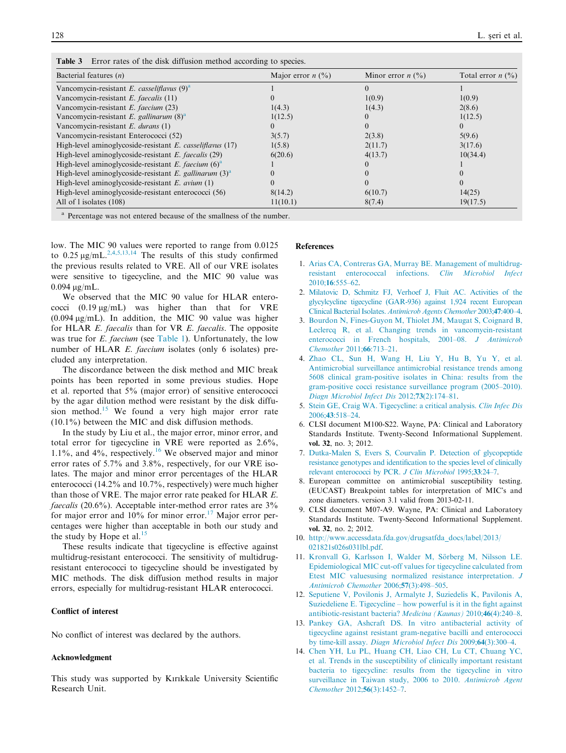| Bacterial features $(n)$                                    | Major error $n$ (%) | Minor error $n$ (%) | Total error $n$ (%) |
|-------------------------------------------------------------|---------------------|---------------------|---------------------|
| Vancomycin-resistant E. casseliflavus $(9)^a$               |                     |                     |                     |
| Vancomycin-resistant E. faecalis (11)                       |                     | 1(0.9)              | 1(0.9)              |
| Vancomycin-resistant E. faecium (23)                        | 1(4.3)              | 1(4.3)              | 2(8.6)              |
| Vancomycin-resistant E. gallinarum $(8)^{a}$                | 1(12.5)             |                     | 1(12.5)             |
| Vancomycin-resistant $E$ . durans (1)                       |                     |                     |                     |
| Vancomycin-resistant Enterococci (52)                       | 3(5.7)              | 2(3.8)              | 5(9.6)              |
| High-level aminoglycoside-resistant E. casseliflavus (17)   | 1(5.8)              | 2(11.7)             | 3(17.6)             |
| High-level aminoglycoside-resistant <i>E. faecalis</i> (29) | 6(20.6)             | 4(13.7)             | 10(34.4)            |
| High-level aminoglycoside-resistant E. faecium $(6)^a$      |                     |                     |                     |
| High-level aminoglycoside-resistant E. gallinarum $(3)^{a}$ |                     |                     |                     |
| High-level aminoglycoside-resistant $E$ . avium (1)         |                     |                     |                     |
| High-level aminoglycoside-resistant enterococci (56)        | 8(14.2)             | 6(10.7)             | 14(25)              |
| All of 1 isolates (108)                                     | 11(10.1)            | 8(7.4)              | 19(17.5)            |

<span id="page-3-0"></span>Table 3 Error rates of the disk diffusion method according to species.

Percentage was not entered because of the smallness of the number.

low. The MIC 90 values were reported to range from 0.0125 to  $0.25 \mu g/mL^{2,4,5,13,14}$  The results of this study confirmed the previous results related to VRE. All of our VRE isolates were sensitive to tigecycline, and the MIC 90 value was  $0.094 \text{ µg/mL}$ .

We observed that the MIC 90 value for HLAR enterococci  $(0.19 \,\mu g/mL)$  was higher than that for VRE  $(0.094 \mu g/mL)$ . In addition, the MIC 90 value was higher for HLAR E. faecalis than for VR E. faecalis. The opposite was true for *E. faecium* (see [Table 1](#page-2-0)). Unfortunately, the low number of HLAR E. faecium isolates (only 6 isolates) precluded any interpretation.

The discordance between the disk method and MIC break points has been reported in some previous studies. Hope et al. reported that 5% (major error) of sensitive enterococci by the agar dilution method were resistant by the disk diffu-sion method.<sup>[15](#page-4-0)</sup> We found a very high major error rate (10.1%) between the MIC and disk diffusion methods.

In the study by Liu et al., the major error, minor error, and total error for tigecycline in VRE were reported as 2.6%, 1.1%, and  $4\%$ , respectively.<sup>[16](#page-4-0)</sup> We observed major and minor error rates of 5.7% and 3.8%, respectively, for our VRE isolates. The major and minor error percentages of the HLAR enterococci (14.2% and 10.7%, respectively) were much higher than those of VRE. The major error rate peaked for HLAR E. faecalis (20.6%). Acceptable inter-method error rates are 3% for major error and  $10\%$  for minor error.<sup>[17](#page-4-0)</sup> Major error percentages were higher than acceptable in both our study and the study by Hope et al. $15$ 

These results indicate that tigecycline is effective against multidrug-resistant enterococci. The sensitivity of multidrugresistant enterococci to tigecycline should be investigated by MIC methods. The disk diffusion method results in major errors, especially for multidrug-resistant HLAR enterococci.

### Conflict of interest

No conflict of interest was declared by the authors.

# Acknowledgment

This study was supported by Kırıkkale University Scientific Research Unit.

#### References

- 1. [Arias CA, Contreras GA, Murray BE. Management of multidrug](http://refhub.elsevier.com/S2090-5068(15)00053-6/h0005)[resistant enterococcal infections.](http://refhub.elsevier.com/S2090-5068(15)00053-6/h0005) Clin Microbiol Infect 2010;16[:555–62](http://refhub.elsevier.com/S2090-5068(15)00053-6/h0005).
- 2. [Milatovic D, Schmitz FJ, Verhoef](http://refhub.elsevier.com/S2090-5068(15)00053-6/h0010) J, Fluit AC. Activities of the [glycylcycline tigecycline \(GAR-936\) against 1,924 recent European](http://refhub.elsevier.com/S2090-5068(15)00053-6/h0010) Clinical Bacterial Isolates. [Antimicrob Agents Chemother](http://refhub.elsevier.com/S2090-5068(15)00053-6/h0010) 2003;47:400–4.
- 3. [Bourdon N, Fines-Guyon M, Thiolet JM, Maugat S, Coignard B,](http://refhub.elsevier.com/S2090-5068(15)00053-6/h0015) [Leclercq R, et al. Changing trends in vancomycin-resistant](http://refhub.elsevier.com/S2090-5068(15)00053-6/h0015) [enterococci in French hospitals, 2001–08.](http://refhub.elsevier.com/S2090-5068(15)00053-6/h0015) J Antimicrob [Chemother](http://refhub.elsevier.com/S2090-5068(15)00053-6/h0015) 2011;66:713–21.
- 4. [Zhao CL, Sun H, Wang H, Liu Y, Hu B, Yu Y, et al.](http://refhub.elsevier.com/S2090-5068(15)00053-6/h0020) [Antimicrobial surveillance antimicrobial resistance trends among](http://refhub.elsevier.com/S2090-5068(15)00053-6/h0020) [5608 clinical gram-positive isolates in China: results from the](http://refhub.elsevier.com/S2090-5068(15)00053-6/h0020) [gram-positive cocci resistance surveillance program \(2005–2010\).](http://refhub.elsevier.com/S2090-5068(15)00053-6/h0020) [Diagn Microbiol Infect Dis](http://refhub.elsevier.com/S2090-5068(15)00053-6/h0020) 2012;73(2):174-81.
- 5. [Stein GE, Craig WA. Tigecycline: a critical analysis.](http://refhub.elsevier.com/S2090-5068(15)00053-6/h0025) Clin Infec Dis 2006;43[:518–24](http://refhub.elsevier.com/S2090-5068(15)00053-6/h0025).
- 6. CLSI document M100-S22. Wayne, PA: Clinical and Laboratory Standards Institute. Twenty-Second Informational Supplement. vol. 32, no. 3; 2012.
- 7. [Dutka-Malen S, Evers S, Courvalin](http://refhub.elsevier.com/S2090-5068(15)00053-6/h0035) P. Detection of glycopeptide [resistance genotypes and identification to the species level of clinically](http://refhub.elsevier.com/S2090-5068(15)00053-6/h0035) [relevant enterococci by PCR.](http://refhub.elsevier.com/S2090-5068(15)00053-6/h0035) J Clin Microbiol 1995;33:24-7.
- 8. European committee on antimicrobial susceptibility testing. (EUCAST) Breakpoint tables for interpretation of MIC's and zone diameters. version 3.1 valid from 2013-02-11.
- 9. CLSI document M07-A9. Wayne, PA: Clinical and Laboratory Standards Institute. Twenty-Second Informational Supplement. vol. 32, no. 2; 2012.
- 10. [http://www.accessdata.fda.gov/drugsatfda\\_docs/label/2013/](http://www.accessdata.fda.gov/drugsatfda_docs/label/2013/021821s026s031lbl.pdf) [021821s026s031lbl.pdf](http://www.accessdata.fda.gov/drugsatfda_docs/label/2013/021821s026s031lbl.pdf).
- 11. Kronvall G, Karlsson I, Walder M, Sörberg M, Nilsson LE. [Epidemiological MIC cut-off values for tigecycline calculated from](http://refhub.elsevier.com/S2090-5068(15)00053-6/h0055) [Etest MIC valuesusing normalized resistance interpretation.](http://refhub.elsevier.com/S2090-5068(15)00053-6/h0055) J [Antimicrob Chemother](http://refhub.elsevier.com/S2090-5068(15)00053-6/h0055) 2006;57(3):498–505.
- 12. [Seputiene V, Povilonis J, Armalyte J, Suziedelis K, Pavilonis A,](http://refhub.elsevier.com/S2090-5068(15)00053-6/h0060) [Suziedeliene E. Tigecycline – how powerful is it in the fight against](http://refhub.elsevier.com/S2090-5068(15)00053-6/h0060) [antibiotic-resistant bacteria?](http://refhub.elsevier.com/S2090-5068(15)00053-6/h0060) Medicina (Kaunas) 2010;46(4):240–8.
- 13. [Pankey GA, Ashcraft DS. In vitro antibacterial activity of](http://refhub.elsevier.com/S2090-5068(15)00053-6/h0065) [tigecycline against resistant gram-negative bacilli and enterococci](http://refhub.elsevier.com/S2090-5068(15)00053-6/h0065) by time-kill assay. [Diagn Microbiol Infect Dis](http://refhub.elsevier.com/S2090-5068(15)00053-6/h0065) 2009;64(3):300–4.
- 14. [Chen YH, Lu PL, Huang CH, Liao CH, Lu CT, Chuang YC,](http://refhub.elsevier.com/S2090-5068(15)00053-6/h0070) [et al. Trends in the susceptibility of clinically important resistant](http://refhub.elsevier.com/S2090-5068(15)00053-6/h0070) [bacteria to tigecycline: results from the tigecycline in vitro](http://refhub.elsevier.com/S2090-5068(15)00053-6/h0070) [surveillance in Taiwan study, 2006 to 2010.](http://refhub.elsevier.com/S2090-5068(15)00053-6/h0070) Antimicrob Agent [Chemother](http://refhub.elsevier.com/S2090-5068(15)00053-6/h0070) 2012;56(3):1452–7.